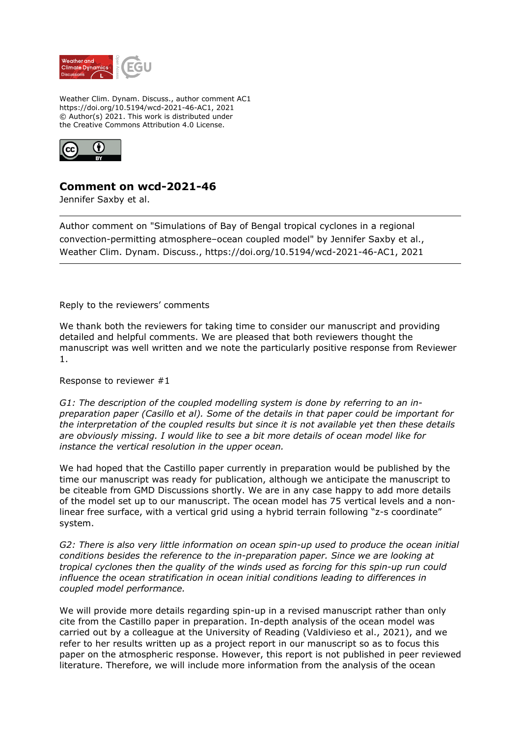

Weather Clim. Dynam. Discuss., author comment AC1 https://doi.org/10.5194/wcd-2021-46-AC1, 2021 © Author(s) 2021. This work is distributed under the Creative Commons Attribution 4.0 License.



## **Comment on wcd-2021-46**

Jennifer Saxby et al.

Author comment on "Simulations of Bay of Bengal tropical cyclones in a regional convection-permitting atmosphere–ocean coupled model" by Jennifer Saxby et al., Weather Clim. Dynam. Discuss., https://doi.org/10.5194/wcd-2021-46-AC1, 2021

Reply to the reviewers' comments

We thank both the reviewers for taking time to consider our manuscript and providing detailed and helpful comments. We are pleased that both reviewers thought the manuscript was well written and we note the particularly positive response from Reviewer 1.

Response to reviewer #1

*G1: The description of the coupled modelling system is done by referring to an inpreparation paper (Casillo et al). Some of the details in that paper could be important for the interpretation of the coupled results but since it is not available yet then these details are obviously missing. I would like to see a bit more details of ocean model like for instance the vertical resolution in the upper ocean.*

We had hoped that the Castillo paper currently in preparation would be published by the time our manuscript was ready for publication, although we anticipate the manuscript to be citeable from GMD Discussions shortly. We are in any case happy to add more details of the model set up to our manuscript. The ocean model has 75 vertical levels and a nonlinear free surface, with a vertical grid using a hybrid terrain following "z-s coordinate" system.

*G2: There is also very little information on ocean spin-up used to produce the ocean initial conditions besides the reference to the in-preparation paper. Since we are looking at tropical cyclones then the quality of the winds used as forcing for this spin-up run could influence the ocean stratification in ocean initial conditions leading to differences in coupled model performance.*

We will provide more details regarding spin-up in a revised manuscript rather than only cite from the Castillo paper in preparation. In-depth analysis of the ocean model was carried out by a colleague at the University of Reading (Valdivieso et al., 2021), and we refer to her results written up as a project report in our manuscript so as to focus this paper on the atmospheric response. However, this report is not published in peer reviewed literature. Therefore, we will include more information from the analysis of the ocean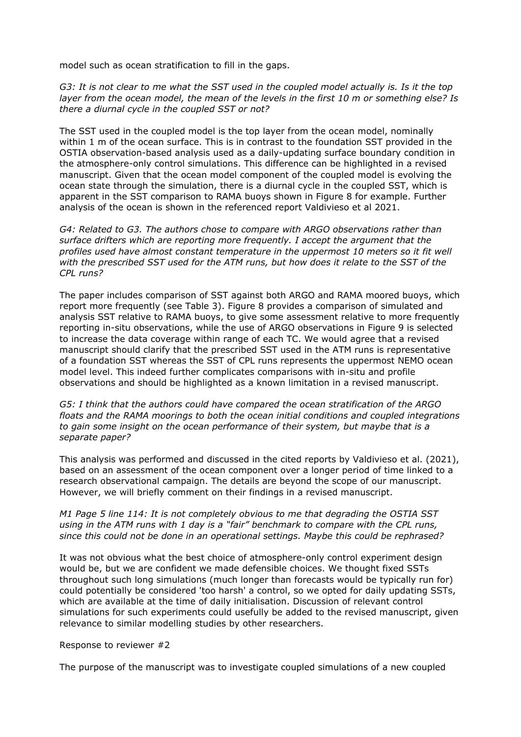model such as ocean stratification to fill in the gaps.

*G3: It is not clear to me what the SST used in the coupled model actually is. Is it the top layer from the ocean model, the mean of the levels in the first 10 m or something else? Is there a diurnal cycle in the coupled SST or not?*

The SST used in the coupled model is the top layer from the ocean model, nominally within 1 m of the ocean surface. This is in contrast to the foundation SST provided in the OSTIA observation-based analysis used as a daily-updating surface boundary condition in the atmosphere-only control simulations. This difference can be highlighted in a revised manuscript. Given that the ocean model component of the coupled model is evolving the ocean state through the simulation, there is a diurnal cycle in the coupled SST, which is apparent in the SST comparison to RAMA buoys shown in Figure 8 for example. Further analysis of the ocean is shown in the referenced report Valdivieso et al 2021.

*G4: Related to G3. The authors chose to compare with ARGO observations rather than surface drifters which are reporting more frequently. I accept the argument that the profiles used have almost constant temperature in the uppermost 10 meters so it fit well with the prescribed SST used for the ATM runs, but how does it relate to the SST of the CPL runs?*

The paper includes comparison of SST against both ARGO and RAMA moored buoys, which report more frequently (see Table 3). Figure 8 provides a comparison of simulated and analysis SST relative to RAMA buoys, to give some assessment relative to more frequently reporting in-situ observations, while the use of ARGO observations in Figure 9 is selected to increase the data coverage within range of each TC. We would agree that a revised manuscript should clarify that the prescribed SST used in the ATM runs is representative of a foundation SST whereas the SST of CPL runs represents the uppermost NEMO ocean model level. This indeed further complicates comparisons with in-situ and profile observations and should be highlighted as a known limitation in a revised manuscript.

*G5: I think that the authors could have compared the ocean stratification of the ARGO floats and the RAMA moorings to both the ocean initial conditions and coupled integrations to gain some insight on the ocean performance of their system, but maybe that is a separate paper?*

This analysis was performed and discussed in the cited reports by Valdivieso et al. (2021), based on an assessment of the ocean component over a longer period of time linked to a research observational campaign. The details are beyond the scope of our manuscript. However, we will briefly comment on their findings in a revised manuscript.

*M1 Page 5 line 114: It is not completely obvious to me that degrading the OSTIA SST using in the ATM runs with 1 day is a "fair" benchmark to compare with the CPL runs, since this could not be done in an operational settings. Maybe this could be rephrased?*

It was not obvious what the best choice of atmosphere-only control experiment design would be, but we are confident we made defensible choices. We thought fixed SSTs throughout such long simulations (much longer than forecasts would be typically run for) could potentially be considered 'too harsh' a control, so we opted for daily updating SSTs, which are available at the time of daily initialisation. Discussion of relevant control simulations for such experiments could usefully be added to the revised manuscript, given relevance to similar modelling studies by other researchers.

## Response to reviewer #2

The purpose of the manuscript was to investigate coupled simulations of a new coupled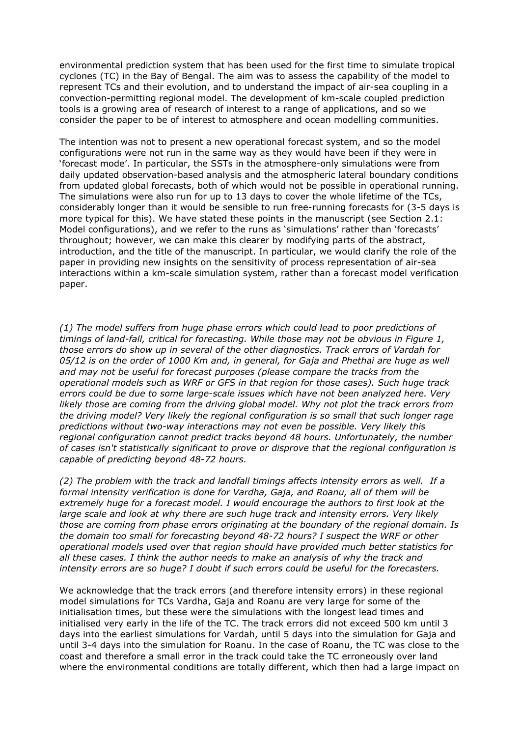environmental prediction system that has been used for the first time to simulate tropical cyclones (TC) in the Bay of Bengal. The aim was to assess the capability of the model to represent TCs and their evolution, and to understand the impact of air-sea coupling in a convection-permitting regional model. The development of km-scale coupled prediction tools is a growing area of research of interest to a range of applications, and so we consider the paper to be of interest to atmosphere and ocean modelling communities.

The intention was not to present a new operational forecast system, and so the model configurations were not run in the same way as they would have been if they were in 'forecast mode'. In particular, the SSTs in the atmosphere-only simulations were from daily updated observation-based analysis and the atmospheric lateral boundary conditions from updated global forecasts, both of which would not be possible in operational running. The simulations were also run for up to 13 days to cover the whole lifetime of the TCs, considerably longer than it would be sensible to run free-running forecasts for (3-5 days is more typical for this). We have stated these points in the manuscript (see Section 2.1: Model configurations), and we refer to the runs as 'simulations' rather than 'forecasts' throughout; however, we can make this clearer by modifying parts of the abstract, introduction, and the title of the manuscript. In particular, we would clarify the role of the paper in providing new insights on the sensitivity of process representation of air-sea interactions within a km-scale simulation system, rather than a forecast model verification paper.

*(1) The model suffers from huge phase errors which could lead to poor predictions of timings of land-fall, critical for forecasting. While those may not be obvious in Figure 1, those errors do show up in several of the other diagnostics. Track errors of Vardah for 05/12 is on the order of 1000 Km and, in general, for Gaja and Phethai are huge as well and may not be useful for forecast purposes (please compare the tracks from the operational models such as WRF or GFS in that region for those cases). Such huge track errors could be due to some large-scale issues which have not been analyzed here. Very likely those are coming from the driving global model. Why not plot the track errors from the driving model? Very likely the regional configuration is so small that such longer rage predictions without two-way interactions may not even be possible. Very likely this regional configuration cannot predict tracks beyond 48 hours. Unfortunately, the number of cases isn't statistically significant to prove or disprove that the regional configuration is capable of predicting beyond 48-72 hours.*

*(2) The problem with the track and landfall timings affects intensity errors as well. If a formal intensity verification is done for Vardha, Gaja, and Roanu, all of them will be extremely huge for a forecast model. I would encourage the authors to first look at the large scale and look at why there are such huge track and intensity errors. Very likely those are coming from phase errors originating at the boundary of the regional domain. Is the domain too small for forecasting beyond 48-72 hours? I suspect the WRF or other operational models used over that region should have provided much better statistics for all these cases. I think the author needs to make an analysis of why the track and intensity errors are so huge? I doubt if such errors could be useful for the forecasters.*

We acknowledge that the track errors (and therefore intensity errors) in these regional model simulations for TCs Vardha, Gaja and Roanu are very large for some of the initialisation times, but these were the simulations with the longest lead times and initialised very early in the life of the TC. The track errors did not exceed 500 km until 3 days into the earliest simulations for Vardah, until 5 days into the simulation for Gaja and until 3-4 days into the simulation for Roanu. In the case of Roanu, the TC was close to the coast and therefore a small error in the track could take the TC erroneously over land where the environmental conditions are totally different, which then had a large impact on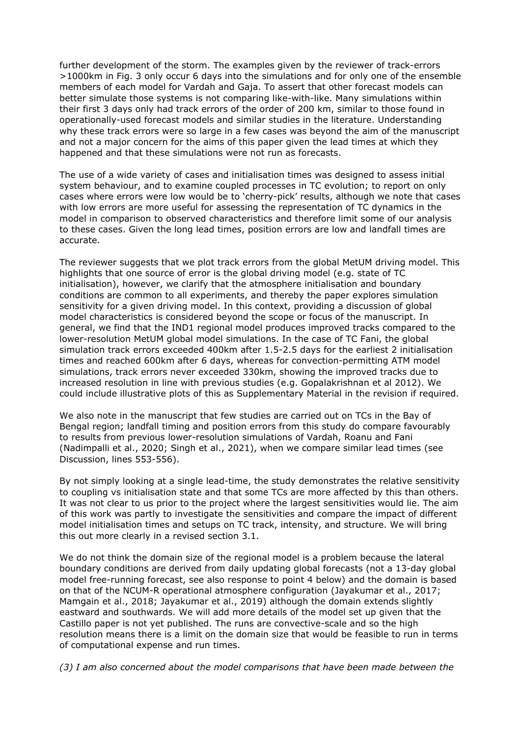further development of the storm. The examples given by the reviewer of track-errors >1000km in Fig. 3 only occur 6 days into the simulations and for only one of the ensemble members of each model for Vardah and Gaja. To assert that other forecast models can better simulate those systems is not comparing like-with-like. Many simulations within their first 3 days only had track errors of the order of 200 km, similar to those found in operationally-used forecast models and similar studies in the literature. Understanding why these track errors were so large in a few cases was beyond the aim of the manuscript and not a major concern for the aims of this paper given the lead times at which they happened and that these simulations were not run as forecasts.

The use of a wide variety of cases and initialisation times was designed to assess initial system behaviour, and to examine coupled processes in TC evolution; to report on only cases where errors were low would be to 'cherry-pick' results, although we note that cases with low errors are more useful for assessing the representation of TC dynamics in the model in comparison to observed characteristics and therefore limit some of our analysis to these cases. Given the long lead times, position errors are low and landfall times are accurate.

The reviewer suggests that we plot track errors from the global MetUM driving model. This highlights that one source of error is the global driving model (e.g. state of TC initialisation), however, we clarify that the atmosphere initialisation and boundary conditions are common to all experiments, and thereby the paper explores simulation sensitivity for a given driving model. In this context, providing a discussion of global model characteristics is considered beyond the scope or focus of the manuscript. In general, we find that the IND1 regional model produces improved tracks compared to the lower-resolution MetUM global model simulations. In the case of TC Fani, the global simulation track errors exceeded 400km after 1.5-2.5 days for the earliest 2 initialisation times and reached 600km after 6 days, whereas for convection-permitting ATM model simulations, track errors never exceeded 330km, showing the improved tracks due to increased resolution in line with previous studies (e.g. Gopalakrishnan et al 2012). We could include illustrative plots of this as Supplementary Material in the revision if required.

We also note in the manuscript that few studies are carried out on TCs in the Bay of Bengal region; landfall timing and position errors from this study do compare favourably to results from previous lower-resolution simulations of Vardah, Roanu and Fani (Nadimpalli et al., 2020; Singh et al., 2021), when we compare similar lead times (see Discussion, lines 553-556).

By not simply looking at a single lead-time, the study demonstrates the relative sensitivity to coupling vs initialisation state and that some TCs are more affected by this than others. It was not clear to us prior to the project where the largest sensitivities would lie. The aim of this work was partly to investigate the sensitivities and compare the impact of different model initialisation times and setups on TC track, intensity, and structure. We will bring this out more clearly in a revised section 3.1.

We do not think the domain size of the regional model is a problem because the lateral boundary conditions are derived from daily updating global forecasts (not a 13-day global model free-running forecast, see also response to point 4 below) and the domain is based on that of the NCUM-R operational atmosphere configuration (Jayakumar et al., 2017; Mamgain et al., 2018; Jayakumar et al., 2019) although the domain extends slightly eastward and southwards. We will add more details of the model set up given that the Castillo paper is not yet published. The runs are convective-scale and so the high resolution means there is a limit on the domain size that would be feasible to run in terms of computational expense and run times.

*(3) I am also concerned about the model comparisons that have been made between the*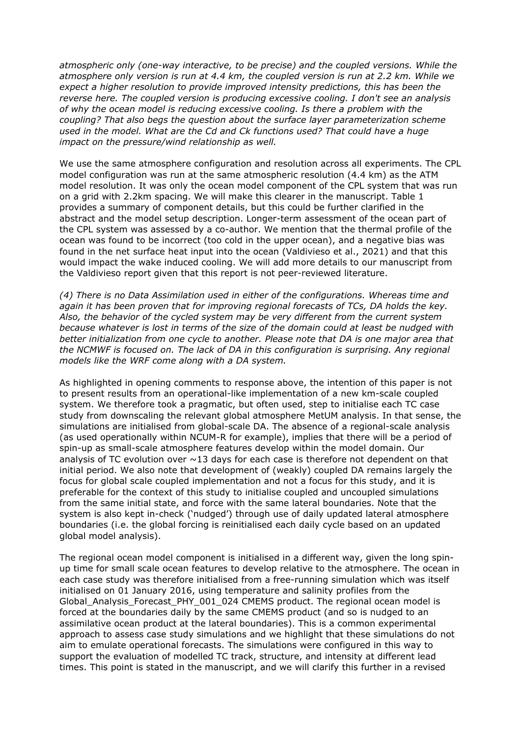*atmospheric only (one-way interactive, to be precise) and the coupled versions. While the atmosphere only version is run at 4.4 km, the coupled version is run at 2.2 km. While we expect a higher resolution to provide improved intensity predictions, this has been the reverse here. The coupled version is producing excessive cooling. I don't see an analysis of why the ocean model is reducing excessive cooling. Is there a problem with the coupling? That also begs the question about the surface layer parameterization scheme used in the model. What are the Cd and Ck functions used? That could have a huge impact on the pressure/wind relationship as well.*

We use the same atmosphere configuration and resolution across all experiments. The CPL model configuration was run at the same atmospheric resolution (4.4 km) as the ATM model resolution. It was only the ocean model component of the CPL system that was run on a grid with 2.2km spacing. We will make this clearer in the manuscript. Table 1 provides a summary of component details, but this could be further clarified in the abstract and the model setup description. Longer-term assessment of the ocean part of the CPL system was assessed by a co-author. We mention that the thermal profile of the ocean was found to be incorrect (too cold in the upper ocean), and a negative bias was found in the net surface heat input into the ocean (Valdivieso et al., 2021) and that this would impact the wake induced cooling. We will add more details to our manuscript from the Valdivieso report given that this report is not peer-reviewed literature.

*(4) There is no Data Assimilation used in either of the configurations. Whereas time and again it has been proven that for improving regional forecasts of TCs, DA holds the key. Also, the behavior of the cycled system may be very different from the current system because whatever is lost in terms of the size of the domain could at least be nudged with better initialization from one cycle to another. Please note that DA is one major area that the NCMWF is focused on. The lack of DA in this configuration is surprising. Any regional models like the WRF come along with a DA system.*

As highlighted in opening comments to response above, the intention of this paper is not to present results from an operational-like implementation of a new km-scale coupled system. We therefore took a pragmatic, but often used, step to initialise each TC case study from downscaling the relevant global atmosphere MetUM analysis. In that sense, the simulations are initialised from global-scale DA. The absence of a regional-scale analysis (as used operationally within NCUM-R for example), implies that there will be a period of spin-up as small-scale atmosphere features develop within the model domain. Our analysis of TC evolution over  $\sim$ 13 days for each case is therefore not dependent on that initial period. We also note that development of (weakly) coupled DA remains largely the focus for global scale coupled implementation and not a focus for this study, and it is preferable for the context of this study to initialise coupled and uncoupled simulations from the same initial state, and force with the same lateral boundaries. Note that the system is also kept in-check ('nudged') through use of daily updated lateral atmosphere boundaries (i.e. the global forcing is reinitialised each daily cycle based on an updated global model analysis).

The regional ocean model component is initialised in a different way, given the long spinup time for small scale ocean features to develop relative to the atmosphere. The ocean in each case study was therefore initialised from a free-running simulation which was itself initialised on 01 January 2016, using temperature and salinity profiles from the Global Analysis Forecast PHY 001 024 CMEMS product. The regional ocean model is forced at the boundaries daily by the same CMEMS product (and so is nudged to an assimilative ocean product at the lateral boundaries). This is a common experimental approach to assess case study simulations and we highlight that these simulations do not aim to emulate operational forecasts. The simulations were configured in this way to support the evaluation of modelled TC track, structure, and intensity at different lead times. This point is stated in the manuscript, and we will clarify this further in a revised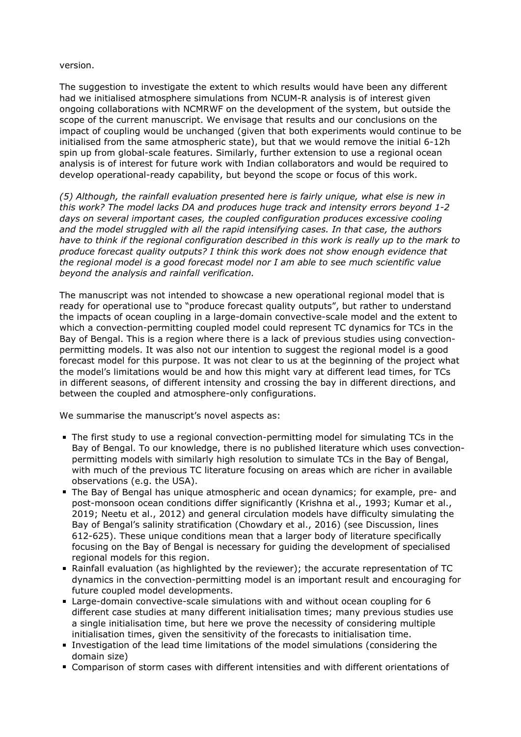## version.

The suggestion to investigate the extent to which results would have been any different had we initialised atmosphere simulations from NCUM-R analysis is of interest given ongoing collaborations with NCMRWF on the development of the system, but outside the scope of the current manuscript. We envisage that results and our conclusions on the impact of coupling would be unchanged (given that both experiments would continue to be initialised from the same atmospheric state), but that we would remove the initial 6-12h spin up from global-scale features. Similarly, further extension to use a regional ocean analysis is of interest for future work with Indian collaborators and would be required to develop operational-ready capability, but beyond the scope or focus of this work.

*(5) Although, the rainfall evaluation presented here is fairly unique, what else is new in this work? The model lacks DA and produces huge track and intensity errors beyond 1-2 days on several important cases, the coupled configuration produces excessive cooling and the model struggled with all the rapid intensifying cases. In that case, the authors have to think if the regional configuration described in this work is really up to the mark to produce forecast quality outputs? I think this work does not show enough evidence that the regional model is a good forecast model nor I am able to see much scientific value beyond the analysis and rainfall verification.*

The manuscript was not intended to showcase a new operational regional model that is ready for operational use to "produce forecast quality outputs", but rather to understand the impacts of ocean coupling in a large-domain convective-scale model and the extent to which a convection-permitting coupled model could represent TC dynamics for TCs in the Bay of Bengal. This is a region where there is a lack of previous studies using convectionpermitting models. It was also not our intention to suggest the regional model is a good forecast model for this purpose. It was not clear to us at the beginning of the project what the model's limitations would be and how this might vary at different lead times, for TCs in different seasons, of different intensity and crossing the bay in different directions, and between the coupled and atmosphere-only configurations.

We summarise the manuscript's novel aspects as:

- The first study to use a regional convection-permitting model for simulating TCs in the Bay of Bengal. To our knowledge, there is no published literature which uses convectionpermitting models with similarly high resolution to simulate TCs in the Bay of Bengal, with much of the previous TC literature focusing on areas which are richer in available observations (e.g. the USA).
- **The Bay of Bengal has unique atmospheric and ocean dynamics; for example, pre- and** post-monsoon ocean conditions differ significantly (Krishna et al., 1993; Kumar et al., 2019; Neetu et al., 2012) and general circulation models have difficulty simulating the Bay of Bengal's salinity stratification (Chowdary et al., 2016) (see Discussion, lines 612-625). These unique conditions mean that a larger body of literature specifically focusing on the Bay of Bengal is necessary for guiding the development of specialised regional models for this region.
- Rainfall evaluation (as highlighted by the reviewer); the accurate representation of TC dynamics in the convection-permitting model is an important result and encouraging for future coupled model developments.
- Large-domain convective-scale simulations with and without ocean coupling for 6 different case studies at many different initialisation times; many previous studies use a single initialisation time, but here we prove the necessity of considering multiple initialisation times, given the sensitivity of the forecasts to initialisation time.
- Investigation of the lead time limitations of the model simulations (considering the domain size)
- Comparison of storm cases with different intensities and with different orientations of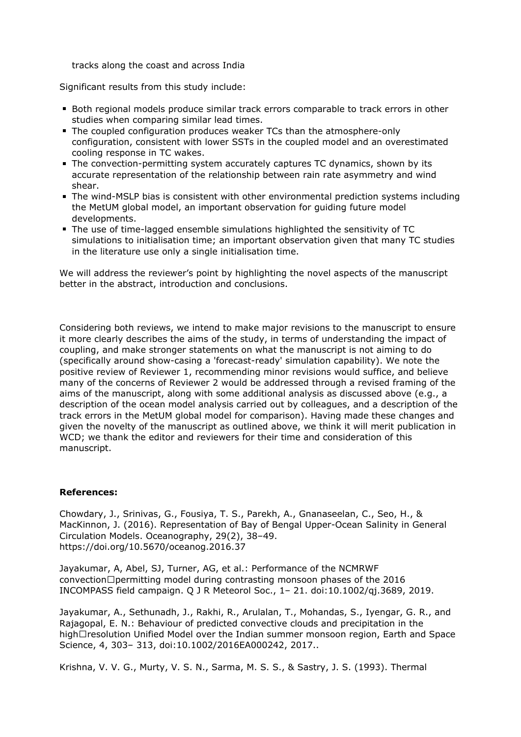tracks along the coast and across India

Significant results from this study include:

- Both regional models produce similar track errors comparable to track errors in other studies when comparing similar lead times.
- The coupled configuration produces weaker TCs than the atmosphere-only configuration, consistent with lower SSTs in the coupled model and an overestimated cooling response in TC wakes.
- The convection-permitting system accurately captures TC dynamics, shown by its accurate representation of the relationship between rain rate asymmetry and wind shear.
- The wind-MSLP bias is consistent with other environmental prediction systems including the MetUM global model, an important observation for guiding future model developments.
- The use of time-lagged ensemble simulations highlighted the sensitivity of TC simulations to initialisation time; an important observation given that many TC studies in the literature use only a single initialisation time.

We will address the reviewer's point by highlighting the novel aspects of the manuscript better in the abstract, introduction and conclusions.

Considering both reviews, we intend to make major revisions to the manuscript to ensure it more clearly describes the aims of the study, in terms of understanding the impact of coupling, and make stronger statements on what the manuscript is not aiming to do (specifically around show-casing a 'forecast-ready' simulation capability). We note the positive review of Reviewer 1, recommending minor revisions would suffice, and believe many of the concerns of Reviewer 2 would be addressed through a revised framing of the aims of the manuscript, along with some additional analysis as discussed above (e.g., a description of the ocean model analysis carried out by colleagues, and a description of the track errors in the MetUM global model for comparison). Having made these changes and given the novelty of the manuscript as outlined above, we think it will merit publication in WCD; we thank the editor and reviewers for their time and consideration of this manuscript.

## **References:**

Chowdary, J., Srinivas, G., Fousiya, T. S., Parekh, A., Gnanaseelan, C., Seo, H., & MacKinnon, J. (2016). Representation of Bay of Bengal Upper-Ocean Salinity in General Circulation Models. Oceanography, 29(2), 38–49. https://doi.org/10.5670/oceanog.2016.37

Jayakumar, A, Abel, SJ, Turner, AG, et al.: Performance of the NCMRWF convection $\Box$  permitting model during contrasting monsoon phases of the 2016 INCOMPASS field campaign. Q J R Meteorol Soc., 1– 21. doi:10.1002/qj.3689, 2019.

Jayakumar, A., Sethunadh, J., Rakhi, R., Arulalan, T., Mohandas, S., Iyengar, G. R., and Rajagopal, E. N.: Behaviour of predicted convective clouds and precipitation in the high $\Box$ resolution Unified Model over the Indian summer monsoon region, Earth and Space Science, 4, 303– 313, doi:10.1002/2016EA000242, 2017..

Krishna, V. V. G., Murty, V. S. N., Sarma, M. S. S., & Sastry, J. S. (1993). Thermal